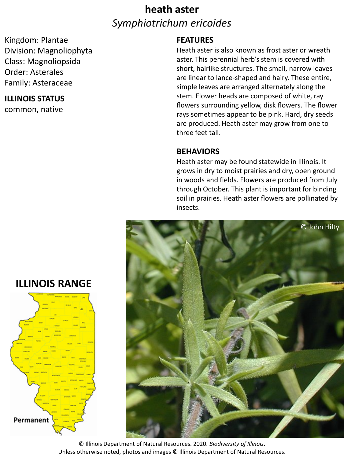### **heath aster** *Symphiotrichum ericoides*

Kingdom: Plantae Division: Magnoliophyta Class: Magnoliopsida Order: Asterales Family: Asteraceae

#### **ILLINOIS STATUS**

common, native

#### **FEATURES**

Heath aster is also known as frost aster or wreath aster. This perennial herb's stem is covered with short, hairlike structures. The small, narrow leaves are linear to lance-shaped and hairy. These entire, simple leaves are arranged alternately along the stem. Flower heads are composed of white, ray flowers surrounding yellow, disk flowers. The flower rays sometimes appear to be pink. Hard, dry seeds are produced. Heath aster may grow from one to three feet tall.

#### **BEHAVIORS**

Heath aster may be found statewide in Illinois. It grows in dry to moist prairies and dry, open ground in woods and fields. Flowers are produced from July through October. This plant is important for binding soil in prairies. Heath aster flowers are pollinated by insects.



**ILLINOIS RANGE**



© Illinois Department of Natural Resources. 2020. *Biodiversity of Illinois*. Unless otherwise noted, photos and images © Illinois Department of Natural Resources.